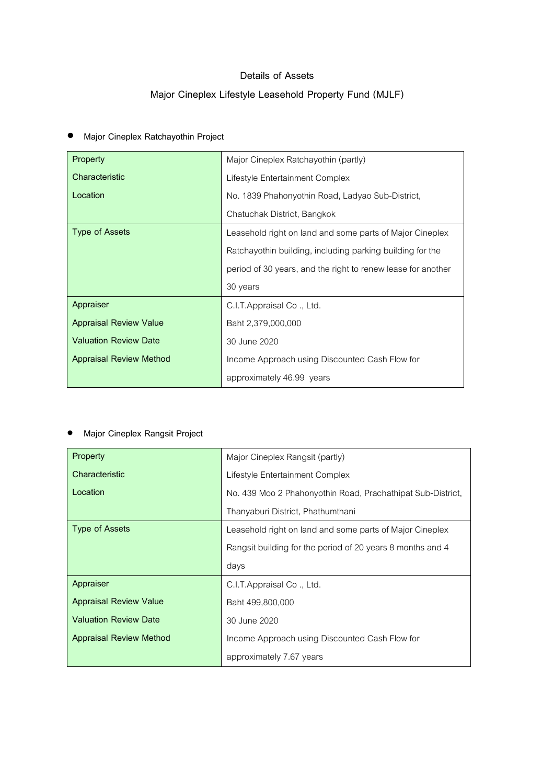#### Details of Assets

# Major Cineplex Lifestyle Leasehold Property Fund (MJLF)

| Property                       | Major Cineplex Ratchayothin (partly)                         |
|--------------------------------|--------------------------------------------------------------|
| Characteristic                 | Lifestyle Entertainment Complex                              |
| Location                       | No. 1839 Phahonyothin Road, Ladyao Sub-District,             |
|                                | Chatuchak District, Bangkok                                  |
| Type of Assets                 | Leasehold right on land and some parts of Major Cineplex     |
|                                | Ratchayothin building, including parking building for the    |
|                                | period of 30 years, and the right to renew lease for another |
|                                | 30 years                                                     |
| Appraiser                      | C.I.T.Appraisal Co., Ltd.                                    |
| <b>Appraisal Review Value</b>  | Baht 2,379,000,000                                           |
| <b>Valuation Review Date</b>   | 30 June 2020                                                 |
| <b>Appraisal Review Method</b> | Income Approach using Discounted Cash Flow for               |
|                                | approximately 46.99 years                                    |

# • Major Cineplex Ratchayothin Project

## • Major Cineplex Rangsit Project

| Property                       | Major Cineplex Rangsit (partly)                             |
|--------------------------------|-------------------------------------------------------------|
| Characteristic                 | Lifestyle Entertainment Complex                             |
| Location                       | No. 439 Moo 2 Phahonyothin Road, Prachathipat Sub-District, |
|                                | Thanyaburi District, Phathumthani                           |
| Type of Assets                 | Leasehold right on land and some parts of Major Cineplex    |
|                                | Rangsit building for the period of 20 years 8 months and 4  |
|                                | days                                                        |
| Appraiser                      | C.I.T.Appraisal Co., Ltd.                                   |
| <b>Appraisal Review Value</b>  | Baht 499,800,000                                            |
| <b>Valuation Review Date</b>   | 30 June 2020                                                |
| <b>Appraisal Review Method</b> | Income Approach using Discounted Cash Flow for              |
|                                | approximately 7.67 years                                    |